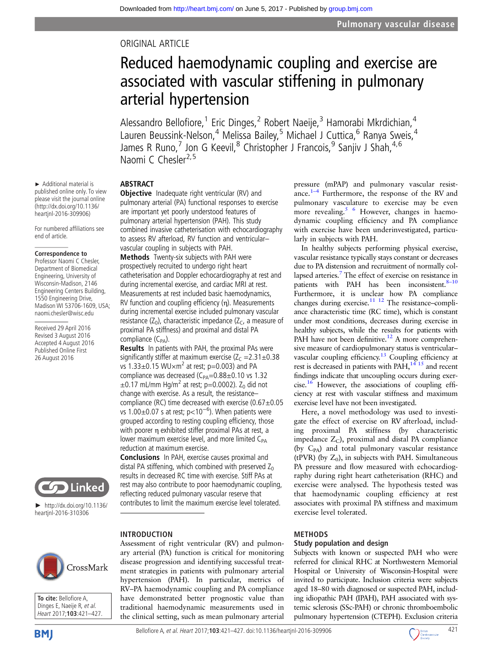## ORIGINAL ARTICLE

# Reduced haemodynamic coupling and exercise are associated with vascular stiffening in pulmonary arterial hypertension

Alessandro Bellofiore,<sup>1</sup> Eric Dinges,<sup>2</sup> Robert Naeije,<sup>3</sup> Hamorabi Mkrdichian,<sup>4</sup> Lauren Beussink-Nelson,<sup>4</sup> Melissa Bailey,<sup>5</sup> Michael J Cuttica,<sup>6</sup> Ranya Sweis,<sup>4</sup> James R Runo,<sup>7</sup> Jon G Keevil,<sup>8</sup> Christopher J Francois,<sup>9</sup> Sanjiv J Shah,<sup>4,6</sup> Naomi C Chesler<sup>2,5</sup>

#### ABSTRACT

**Objective** Inadequate right ventricular (RV) and pulmonary arterial (PA) functional responses to exercise are important yet poorly understood features of pulmonary arterial hypertension (PAH). This study combined invasive catheterisation with echocardiography to assess RV afterload, RV function and ventricular– vascular coupling in subjects with PAH.

Methods Twenty-six subjects with PAH were prospectively recruited to undergo right heart catheterisation and Doppler echocardiography at rest and during incremental exercise, and cardiac MRI at rest. Measurements at rest included basic haemodynamics, RV function and coupling efficiency (η). Measurements during incremental exercise included pulmonary vascular resistance  $(Z_0)$ , characteristic impedance  $(Z_C, a$  measure of proximal PA stiffness) and proximal and distal PA compliance  $(C_{PA})$ .

Results In patients with PAH, the proximal PAs were significantly stiffer at maximum exercise  $(Z_C = 2.31 \pm 0.38$ vs  $1.33\pm0.15$  WU $\times$ m<sup>2</sup> at rest; p=0.003) and PA compliance was decreased ( $C_{PA}$ =0.88±0.10 vs 1.32  $\pm$ 0.17 mL/mm Hg/m<sup>2</sup> at rest; p=0.0002). Z<sub>0</sub> did not change with exercise. As a result, the resistance– compliance (RC) time decreased with exercise  $(0.67\pm0.05$ vs 1.00 $\pm$ 0.07 s at rest; p<10<sup>-6</sup>). When patients were grouped according to resting coupling efficiency, those with poorer η exhibited stiffer proximal PAs at rest, a lower maximum exercise level, and more limited C<sub>PA</sub> reduction at maximum exercise.

Conclusions In PAH, exercise causes proximal and distal PA stiffening, which combined with preserved  $Z_0$ results in decreased RC time with exercise. Stiff PAs at rest may also contribute to poor haemodynamic coupling, reflecting reduced pulmonary vascular reserve that contributes to limit the maximum exercise level tolerated.

have demonstrated better prognostic value than traditional haemodynamic measurements used in the clinical setting, such as mean pulmonary arterial



► http://dx.doi.org/10.1136/ heartjnl-2016-310306

**Solu** Linked

**To cite:** Bellofiore A, Dinges E, Naeije R, et al. Heart 2017;**103**:421–427.



#### pressure (mPAP) and pulmonary vascular resistance. $1-4$  $1-4$  Furthermore, the response of the RV and pulmonary vasculature to exercise may be even more revealing.<sup>[5 6](#page-6-0)</sup> However, changes in haemodynamic coupling efficiency and PA compliance with exercise have been underinvestigated, particularly in subjects with PAH.

In healthy subjects performing physical exercise, vascular resistance typically stays constant or decreases due to PA distension and recruitment of normally collapsed arteries[.7](#page-6-0) The effect of exercise on resistance in patients with PAH has been inconsistent.<sup>8-[10](#page-6-0)</sup> Furthermore, it is unclear how PA compliance changes during exercise. $11 \t12$  The resistance-compliance characteristic time (RC time), which is constant under most conditions, decreases during exercise in healthy subjects, while the results for patients with PAH have not been definitive.<sup>12</sup> A more comprehensive measure of cardiopulmonary status is ventricular– vascular coupling efficiency.<sup>[13](#page-6-0)</sup> Coupling efficiency at rest is decreased in patients with  $PA\hat{H}$ ,<sup>14 15</sup> and recent findings indicate that uncoupling occurs during exer-cise.<sup>[16](#page-6-0)</sup> However, the associations of coupling efficiency at rest with vascular stiffness and maximum exercise level have not been investigated.

Here, a novel methodology was used to investigate the effect of exercise on RV afterload, including proximal PA stiffness (by characteristic impedance  $Z_C$ ), proximal and distal PA compliance (by  $C_{PA}$ ) and total pulmonary vascular resistance (tPVR) (by  $Z_0$ ), in subjects with PAH. Simultaneous PA pressure and flow measured with echocardiography during right heart catheterisation (RHC) and exercise were analysed. The hypothesis tested was that haemodynamic coupling efficiency at rest associates with proximal PA stiffness and maximum exercise level tolerated.

#### METHODS

#### Study population and design

Subjects with known or suspected PAH who were referred for clinical RHC at Northwestern Memorial Hospital or University of Wisconsin-Hospital were invited to participate. Inclusion criteria were subjects aged 18–80 with diagnosed or suspected PAH, including idiopathic PAH (IPAH), PAH associated with systemic sclerosis (SSc-PAH) or chronic thromboembolic pulmonary hypertension (CTEPH). Exclusion criteria



#### published online only. To view please visit the journal online (http://dx.doi.org/10.1136/ heartjnl-2016-309906)

For numbered affiliations see end of article.

► Additional material is

#### **Correspondence to**

Professor Naomi C Chesler, Department of Biomedical Engineering, University of Wisconsin-Madison, 2146 Engineering Centers Building, 1550 Engineering Drive, Madison WI 53706-1609, USA; naomi.chesler@wisc.edu

Received 29 April 2016 Revised 3 August 2016 Accepted 4 August 2016 Published Online First 26 August 2016

> INTRODUCTION Assessment of right ventricular (RV) and pulmonary arterial (PA) function is critical for monitoring disease progression and identifying successful treatment strategies in patients with pulmonary arterial hypertension (PAH). In particular, metrics of RV–PA haemodynamic coupling and PA compliance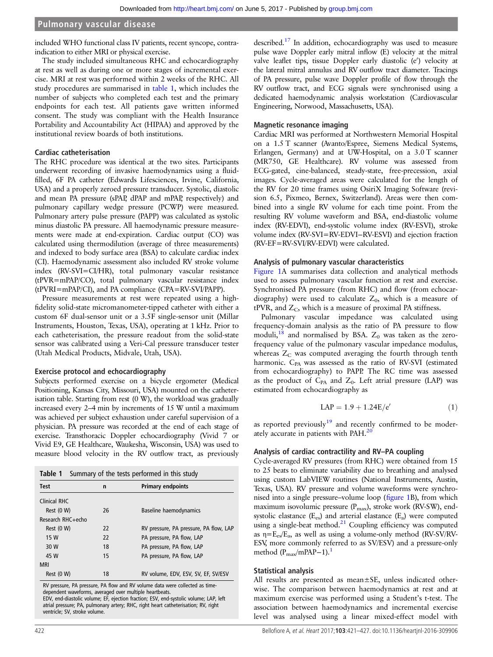#### **Pulmonary vascular disease**

included WHO functional class IV patients, recent syncope, contraindication to either MRI or physical exercise.

The study included simultaneous RHC and echocardiography at rest as well as during one or more stages of incremental exercise. MRI at rest was performed within 2 weeks of the RHC. All study procedures are summarised in table 1, which includes the number of subjects who completed each test and the primary endpoints for each test. All patients gave written informed consent. The study was compliant with the Health Insurance Portability and Accountability Act (HIPAA) and approved by the institutional review boards of both institutions.

#### Cardiac catheterisation

The RHC procedure was identical at the two sites. Participants underwent recording of invasive haemodynamics using a fluidfilled, 6F PA catheter (Edwards Lifesciences, Irvine, California, USA) and a properly zeroed pressure transducer. Systolic, diastolic and mean PA pressure (sPAP, dPAP and mPAP, respectively) and pulmonary capillary wedge pressure (PCWP) were measured. Pulmonary artery pulse pressure (PAPP) was calculated as systolic minus diastolic PA pressure. All haemodynamic pressure measurements were made at end-expiration. Cardiac output (CO) was calculated using thermodilution (average of three measurements) and indexed to body surface area (BSA) to calculate cardiac index (CI). Haemodynamic assessment also included RV stroke volume index (RV-SVI=CI/HR), total pulmonary vascular resistance (tPVR=mPAP/CO), total pulmonary vascular resistance index (tPVRI=mPAP/CI), and PA compliance (CPA=RV-SVI/PAPP).

Pressure measurements at rest were repeated using a highfidelity solid-state micromanometer-tipped catheter with either a custom 6F dual-sensor unit or a 3.5F single-sensor unit (Millar Instruments, Houston, Texas, USA), operating at 1 kHz. Prior to each catheterisation, the pressure readout from the solid-state sensor was calibrated using a Veri-Cal pressure transducer tester (Utah Medical Products, Midvale, Utah, USA).

## Exercise protocol and echocardiography

Subjects performed exercise on a bicycle ergometer (Medical Positioning, Kansas City, Missouri, USA) mounted on the catheterisation table. Starting from rest (0 W), the workload was gradually increased every 2–4 min by increments of 15 W until a maximum was achieved per subject exhaustion under careful supervision of a physician. PA pressure was recorded at the end of each stage of exercise. Transthoracic Doppler echocardiography (Vivid 7 or Vivid E9, GE Healthcare, Waukesha, Wisconsin, USA) was used to measure blood velocity in the RV outflow tract, as previously

|  |  | Table 1 Summary of the tests performed in this study |  |  |  |  |
|--|--|------------------------------------------------------|--|--|--|--|
|--|--|------------------------------------------------------|--|--|--|--|

| <b>Test</b>       | n  | <b>Primary endpoints</b>               |
|-------------------|----|----------------------------------------|
| Clinical RHC      |    |                                        |
| Rest (0 W)        | 26 | Baseline haemodynamics                 |
| Research RHC+echo |    |                                        |
| Rest (0 W)        | 22 | RV pressure, PA pressure, PA flow, LAP |
| 15 W              | 22 | PA pressure, PA flow, LAP              |
| 30 W              | 18 | PA pressure, PA flow, LAP              |
| 45 W              | 15 | PA pressure, PA flow, LAP              |
| <b>MRI</b>        |    |                                        |
| Rest (0 W)        | 18 | RV volume, EDV, ESV, SV, EF, SV/ESV    |
|                   |    |                                        |

RV pressure, PA pressure, PA flow and RV volume data were collected as time-

dependent waveforms, averaged over multiple heartbeats. EDV, end-diastolic volume; EF, ejection fraction; ESV, end-systolic volume; LAP, left atrial pressure; PA, pulmonary artery; RHC, right heart catheterisation; RV, right ventricle; SV, stroke volume.

described.<sup>[17](#page-6-0)</sup> In addition, echocardiography was used to measure pulse wave Doppler early mitral inflow (E) velocity at the mitral valve leaflet tips, tissue Doppler early diastolic (e') velocity at the lateral mitral annulus and RV outflow tract diameter. Tracings of PA pressure, pulse wave Doppler profile of flow through the RV outflow tract, and ECG signals were synchronised using a dedicated haemodynamic analysis workstation (Cardiovascular Engineering, Norwood, Massachusetts, USA).

#### Magnetic resonance imaging

Cardiac MRI was performed at Northwestern Memorial Hospital on a 1.5 T scanner (Avanto/Espree, Siemens Medical Systems, Erlangen, Germany) and at UW-Hospital, on a 3.0 T scanner (MR750, GE Healthcare). RV volume was assessed from ECG-gated, cine-balanced, steady-state, free-precession, axial images. Cycle-averaged areas were calculated for the length of the RV for 20 time frames using OsiriX Imaging Software (revision 6.5, Pixmeo, Bernex, Switzerland). Areas were then combined into a single RV volume for each time point. From the resulting RV volume waveform and BSA, end-diastolic volume index (RV-EDVI), end-systolic volume index (RV-ESVI), stroke volume index (RV-SVI=RV-EDVI−RV-ESVI) and ejection fraction (RV-EF=RV-SVI/RV-EDVI) were calculated.

#### Analysis of pulmonary vascular characteristics

[Figure 1](#page-2-0)A summarises data collection and analytical methods used to assess pulmonary vascular function at rest and exercise. Synchronised PA pressure (from RHC) and flow (from echocardiography) were used to calculate  $Z_0$ , which is a measure of  $t$ PVR, and  $Z<sub>C</sub>$ , which is a measure of proximal PA stiffness.

Pulmonary vascular impedance was calculated using frequency-domain analysis as the ratio of PA pressure to flow moduli,<sup>18</sup> and normalised by BSA.  $Z_0$  was taken as the zerofrequency value of the pulmonary vascular impedance modulus, whereas  $Z_C$  was computed averaging the fourth through tenth harmonic. C<sub>PA</sub> was assessed as the ratio of RV-SVI (estimated from echocardiography) to PAPP. The RC time was assessed as the product of  $C_{PA}$  and  $Z_0$ . Left atrial pressure (LAP) was estimated from echocardiography as

$$
LAP = 1.9 + 1.24E/e'
$$
 (1)

as reported previously $19$  and recently confirmed to be moder-ately accurate in patients with PAH.<sup>[20](#page-6-0)</sup>

## Analysis of cardiac contractility and RV–PA coupling

Cycle-averaged RV pressures (from RHC) were obtained from 15 to 25 beats to eliminate variability due to breathing and analysed using custom LabVIEW routines (National Instruments, Austin, Texas, USA). RV pressure and volume waveforms were synchronised into a single pressure–volume loop (fi[gure 1B](#page-2-0)), from which maximum isovolumic pressure (P<sub>max</sub>), stroke work (RV-SW), endsystolic elastance  $(E_{es})$  and arterial elastance  $(E_a)$  were computed using a single-beat method.<sup>21</sup> Coupling efficiency was computed as  $\eta = E_{es}/E_a$ , as well as using a volume-only method (RV-SV/RV-ESV, more commonly referred to as SV/ESV) and a pressure-only method  $(P_{\text{max}}/mPAP-1)$ .<sup>1</sup>

#### Statistical analysis

All results are presented as mean $\pm$ SE, unless indicated otherwise. The comparison between haemodynamics at rest and at maximum exercise was performed using a Student's t-test. The association between haemodynamics and incremental exercise level was analysed using a linear mixed-effect model with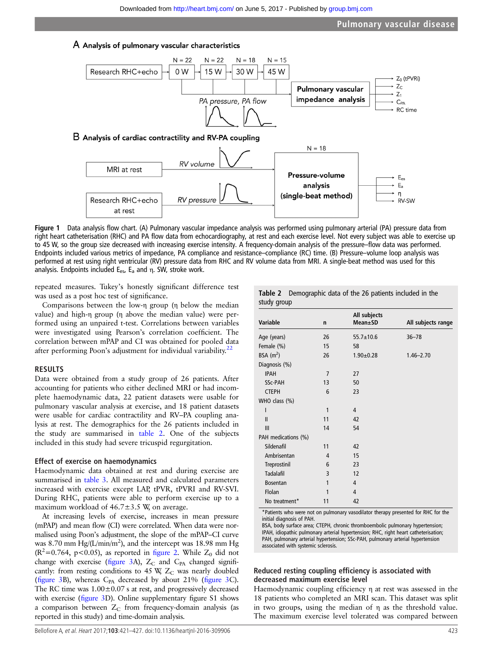#### <span id="page-2-0"></span>A Analysis of pulmonary vascular characteristics



Figure 1 Data analysis flow chart. (A) Pulmonary vascular impedance analysis was performed using pulmonary arterial (PA) pressure data from right heart catheterisation (RHC) and PA flow data from echocardiography, at rest and each exercise level. Not every subject was able to exercise up to 45 W, so the group size decreased with increasing exercise intensity. A frequency-domain analysis of the pressure–flow data was performed. Endpoints included various metrics of impedance, PA compliance and resistance–compliance (RC) time. (B) Pressure–volume loop analysis was performed at rest using right ventricular (RV) pressure data from RHC and RV volume data from MRI. A single-beat method was used for this analysis. Endpoints included  $E_{es}$ ,  $E_a$  and  $\eta$ . SW, stroke work.

repeated measures. Tukey's honestly significant difference test was used as a post hoc test of significance.

Comparisons between the low-η group (η below the median value) and high-η group (η above the median value) were performed using an unpaired t-test. Correlations between variables were investigated using Pearson's correlation coefficient. The correlation between mPAP and CI was obtained for pooled data after performing Poon's adjustment for individual variability. $22$ 

#### RESULTS

Data were obtained from a study group of 26 patients. After accounting for patients who either declined MRI or had incomplete haemodynamic data, 22 patient datasets were usable for pulmonary vascular analysis at exercise, and 18 patient datasets were usable for cardiac contractility and RV–PA coupling analysis at rest. The demographics for the 26 patients included in the study are summarised in table 2. One of the subjects included in this study had severe tricuspid regurgitation.

#### Effect of exercise on haemodynamics

Haemodynamic data obtained at rest and during exercise are summarised in [table 3](#page-3-0). All measured and calculated parameters increased with exercise except LAP, tPVR, tPVRI and RV-SVI. During RHC, patients were able to perform exercise up to a maximum workload of  $46.7 \pm 3.5$  W, on average.

At increasing levels of exercise, increases in mean pressure (mPAP) and mean flow (CI) were correlated. When data were normalised using Poon's adjustment, the slope of the mPAP–CI curve was 8.70 mm  $Hg/(L/min/m^2)$ , and the intercept was 18.98 mm Hg  $(R^2=0.764, p<0.05)$ , as reported in fi[gure 2](#page-3-0). While  $Z_0$  did not change with exercise (fi[gure 3A](#page-4-0)),  $Z_C$  and  $C_{PA}$  changed significantly: from resting conditions to 45 W,  $Z_C$  was nearly doubled (fi[gure 3B](#page-4-0)), whereas  $C_{PA}$  decreased by about 21% (fi[gure 3](#page-4-0)C). The RC time was 1.00±0.07 s at rest, and progressively decreased with exercise (fi[gure 3D](#page-4-0)). Online [supplementary](http://dx.doi.org/10.1136/heartjnl-2016-309906) figure S1 shows a comparison between  $Z_C$  from frequency-domain analysis (as reported in this study) and time-domain analysis.

|             | Table 2 Demographic data of the 26 patients included in the |
|-------------|-------------------------------------------------------------|
| study group |                                                             |

| <b>Variable</b>     | n              | All subjects<br>Mean±SD | All subjects range |
|---------------------|----------------|-------------------------|--------------------|
| Age (years)         | 26             | $55.7 \pm 10.6$         | $36 - 78$          |
| Female (%)          | 15             | 58                      |                    |
| BSA $(m^2)$         | 26             | $1.90 + 0.28$           | $1.46 - 2.70$      |
| Diagnosis (%)       |                |                         |                    |
| <b>IPAH</b>         | $\overline{7}$ | 27                      |                    |
| <b>SSc-PAH</b>      | 13             | 50                      |                    |
| <b>CTEPH</b>        | 6              | 23                      |                    |
| WHO class (%)       |                |                         |                    |
| I                   | 1              | 4                       |                    |
| $\mathbf{I}$        | 11             | 42                      |                    |
| III                 | 14             | 54                      |                    |
| PAH medications (%) |                |                         |                    |
| Sildenafil          | 11             | 42                      |                    |
| Ambrisentan         | 4              | 15                      |                    |
| Treprostinil        | 6              | 23                      |                    |
| <b>Tadalafil</b>    | 3              | 12                      |                    |
| <b>Bosentan</b>     | 1              | 4                       |                    |
| Flolan              | 1              | 4                       |                    |
| No treatment*       | 11             | 42                      |                    |

\*Patients who were not on pulmonary vasodilator therapy presented for RHC for the initial diagnosis of PAH.

BSA, body surface area; CTEPH, chronic thromboembolic pulmonary hypertension; IPAH, idiopathic pulmonary arterial hypertension; RHC, right heart catheterisation; PAH, pulmonary arterial hypertension; SSc-PAH, pulmonary arterial hypertension associated with systemic sclerosis.

#### Reduced resting coupling efficiency is associated with decreased maximum exercise level

Haemodynamic coupling efficiency η at rest was assessed in the 18 patients who completed an MRI scan. This dataset was split in two groups, using the median of η as the threshold value. The maximum exercise level tolerated was compared between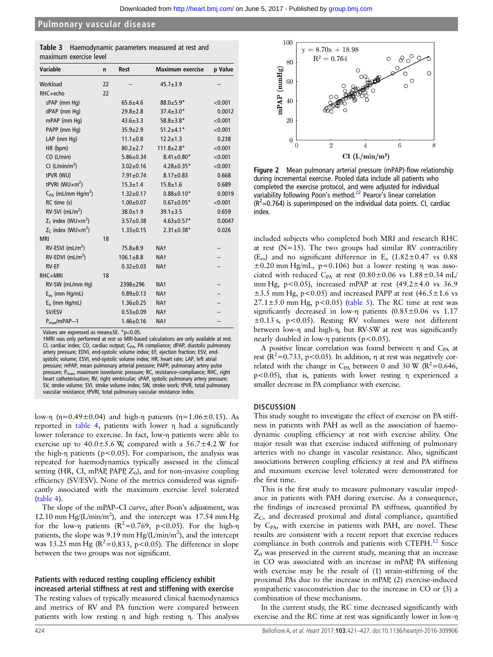#### <span id="page-3-0"></span>**Pulmonary vascular disease**

| <b>Table 3</b> Haemodynamic parameters measured at rest and |
|-------------------------------------------------------------|
| maximum exercise level                                      |

| Variable                                  | n  | <b>Rest</b>     | <b>Maximum exercise</b> | p Value |
|-------------------------------------------|----|-----------------|-------------------------|---------|
| Workload                                  | 22 |                 | $45.7 \pm 3.9$          |         |
| $RHC + echo$                              | 22 |                 |                         |         |
| sPAP (mm Hg)                              |    | $65.6 \pm 4.6$  | $88.0 \pm 5.9*$         | < 0.001 |
| dPAP (mm Hq)                              |    | $29.8 \pm 2.8$  | $37.4 \pm 3.0*$         | 0.0012  |
| mPAP (mm Hq)                              |    | $43.6 \pm 3.3$  | $58.8 \pm 3.8*$         | < 0.001 |
| PAPP (mm Hq)                              |    | $35.9 \pm 2.9$  | $51.2 \pm 4.1*$         | < 0.001 |
| LAP (mm Hg)                               |    | $11.1 \pm 0.8$  | $12.2 \pm 1.3$          | 0.238   |
| HR (bpm)                                  |    | $80.2 \pm 2.7$  | $111.8 \pm 2.8*$        | < 0.001 |
| CO (L/min)                                |    | $5.86 \pm 0.34$ | $8.41 \pm 0.80^*$       | < 0.001 |
| CI (L/min/m <sup>2</sup> )                |    | $3.02 \pm 0.16$ | $4.28 \pm 0.35*$        | < 0.001 |
| tPVR (WU)                                 |    | $7.91 \pm 0.74$ | $8.17 \pm 0.83$         | 0.668   |
| tPVRI (WU $\times$ m <sup>2</sup> )       |    | $15.3 \pm 1.4$  | $15.8 \pm 1.6$          | 0.689   |
| $C_{PA}$ (mL/mm Hg/m <sup>2</sup> )       |    | $1.32 \pm 0.17$ | $0.88 \pm 0.10*$        | 0.0019  |
| RC time (s)                               |    | $1.00 \pm 0.07$ | $0.67 \pm 0.05*$        | < 0.001 |
| $RV-SVI$ (mL/m <sup>2</sup> )             |    | $38.0 \pm 1.9$  | $39.1 \pm 3.5$          | 0.659   |
| $Z_1$ index (WU $\times$ m <sup>2</sup> ) |    | $3.57 \pm 0.38$ | $4.63 \pm 0.57$ *       | 0.0047  |
| $Z_c$ index (WU $\times$ m <sup>2</sup> ) |    | $1.33 \pm 0.15$ | $2.31 \pm 0.38*$        | 0.026   |
| <b>MRI</b>                                | 18 |                 |                         |         |
| $RV$ -ESVI (mL/m <sup>2</sup> )           |    | $75.8 + 8.9$    | NA <sup>+</sup>         |         |
| $RV$ -EDVI (mL/m <sup>2</sup> )           |    | $106.1 \pm 8.8$ | NA <sup>+</sup>         |         |
| <b>RV-EF</b>                              |    | $0.32 \pm 0.03$ | NA <sup>+</sup>         |         |
| RHC+MRI                                   | 18 |                 |                         |         |
| RV-SW (mL/mm Hq)                          |    | $2398 \pm 296$  | NA <sup>+</sup>         |         |
| $E_{es}$ (mm Hg/mL)                       |    | $0.89 + 0.13$   | NA <sup>+</sup>         |         |
| $E_a$ (mm Hg/mL)                          |    | $1.36 \pm 0.25$ | NA <sup>+</sup>         |         |
| SV/ESV                                    |    | $0.53 \pm 0.09$ | NA <sup>+</sup>         |         |
| $P_{max}/mPAP-1$                          |    | $1.46 \pm 0.16$ | NA <sup>t</sup>         |         |

Values are expressed as mean±SE. \*p<0.05.

†MRI was only performed at rest so MRI-based calculations are only available at rest. CI, cardiac index; CO, cardiac output; C<sub>PA</sub>, PA compliance; dPAP, diastolic pulmonary artery pressure; EDVI, end-systolic volume index; EF, ejection fraction; ESV, endsystolic volume; ESVI, end-systolic volume index; HR, heart rate; LAP, left atrial pressure; mPAP, mean pulmonary arterial pressure; PAPP, pulmonary artery pulse pressure; P<sub>max</sub>, maximum isovolumic pressure; RC, resistance–compliance; RHC, right heart catheterisation; RV, right ventricular; sPAP, systolic pulmonary artery pressure; SV, stroke volume; SVI, stroke volume index; SW, stroke work; tPVR, total pulmonary vascular resistance; tPVRI, total pulmonary vascular resistance index.

low-η (η=0.49±0.04) and high-η patients (η=1.06±0.15). As reported in [table 4,](#page-4-0) patients with lower η had a significantly lower tolerance to exercise. In fact, low-η patients were able to exercise up to  $40.0 \pm 5.6$  W, compared with a  $56.7 \pm 4.2$  W for the high-η patients ( $p < 0.05$ ). For comparison, the analysis was repeated for haemodynamics typically assessed in the clinical setting (HR, CI, mPAP, PAPP,  $Z_0$ ), and for non-invasive coupling efficiency (SV/ESV). None of the metrics considered was significantly associated with the maximum exercise level tolerated ([table 4\)](#page-4-0).

The slope of the mPAP–CI curve, after Poon's adjustment, was 12.10 mm  $Hg/(L/min/m^2)$ , and the intercept was 17.54 mm Hg for the low-η patients  $(R^2=0.769, p<0.05)$ . For the high-η patients, the slope was 9.19 mm Hg/( $L/min/m<sup>2</sup>$ ), and the intercept was 13.25 mm Hg ( $R^2$ =0.833, p<0.05). The difference in slope between the two groups was not significant.

#### Patients with reduced resting coupling efficiency exhibit increased arterial stiffness at rest and stiffening with exercise

The resting values of typically measured clinical haemodynamics and metrics of RV and PA function were compared between patients with low resting η and high resting η. This analysis



Figure 2 Mean pulmonary arterial pressure (mPAP)-flow relationship during incremental exercise. Pooled data include all patients who completed the exercise protocol, and were adjusted for individual variability following Poon's method.<sup>[22](#page-6-0)</sup> Pearce's linear correlation  $(R^2=0.764)$  is superimposed on the individual data points. CI, cardiac index.

included subjects who completed both MRI and research RHC at rest  $(N=15)$ . The two groups had similar RV contractility (E<sub>es</sub>) and no significant difference in E<sub>a</sub>  $(1.82 \pm 0.47 \text{ vs } 0.88)$  $\pm 0.20$  mm Hg/mL, p=0.106) but a lower resting η was associated with reduced C<sub>PA</sub> at rest  $(0.80 \pm 0.06$  vs  $1.88 \pm 0.34$  mL/ mm Hg, p<0.05), increased mPAP at rest  $(49.2 \pm 4.0 \text{ vs } 36.9)$  $\pm$ 3.5 mm Hg, p<0.05) and increased PAPP at rest (46.5 $\pm$ 1.6 vs  $27.1 \pm 5.0$  mm Hg, p<0.05) [\(table 5](#page-5-0)). The RC time at rest was significantly decreased in low-η patients (0.85±0.06 vs 1.17  $\pm 0.13$  s, p<0.05). Resting RV volumes were not different between low-η and high-η, but RV-SW at rest was significantly nearly doubled in low-η patients ( $p < 0.05$ ).

A positive linear correlation was found between  $\eta$  and C<sub>PA</sub> at rest ( $\mathbb{R}^2$ =0.733, p<0.05). In addition,  $\eta$  at rest was negatively correlated with the change in C<sub>PA</sub> between 0 and 30 W ( $R^2$ =0.646, p<0.05), that is, patients with lower resting η experienced a smaller decrease in PA compliance with exercise.

#### **DISCUSSION**

This study sought to investigate the effect of exercise on PA stiffness in patients with PAH as well as the association of haemodynamic coupling efficiency at rest with exercise ability. One major result was that exercise induced stiffening of pulmonary arteries with no change in vascular resistance. Also, significant associations between coupling efficiency at rest and PA stiffness and maximum exercise level tolerated were demonstrated for the first time.

This is the first study to measure pulmonary vascular impedance in patients with PAH during exercise. As a consequence, the findings of increased proximal PA stiffness, quantified by  $Z_{\text{C}}$ , and decreased proximal and distal compliance, quantified by C<sub>PA</sub>, with exercise in patients with PAH, are novel. These results are consistent with a recent report that exercise reduces compliance in both controls and patients with CTEPH.<sup>12</sup> Since  $Z_0$  was preserved in the current study, meaning that an increase in CO was associated with an increase in mPAP, PA stiffening with exercise may be the result of (1) strain-stiffening of the proximal PAs due to the increase in mPAP, (2) exercise-induced sympathetic vasoconstriction due to the increase in CO or (3) a combination of these mechanisms.

In the current study, the RC time decreased significantly with exercise and the RC time at rest was significantly lower in low-η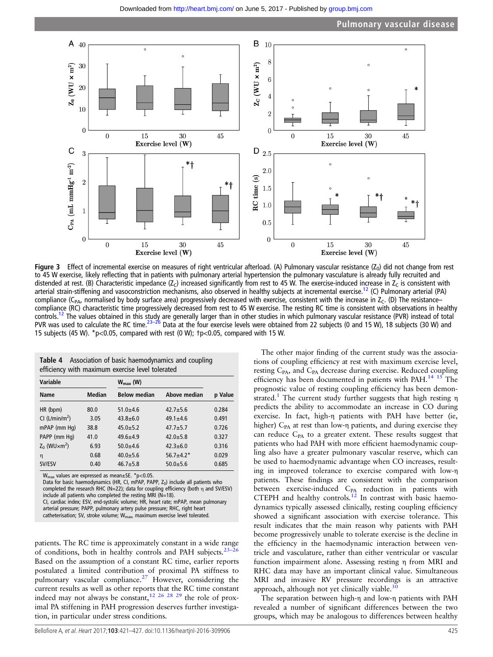<span id="page-4-0"></span>

Figure 3 Effect of incremental exercise on measures of right ventricular afterload. (A) Pulmonary vascular resistance  $(Z_0)$  did not change from rest to 45 W exercise, likely reflecting that in patients with pulmonary arterial hypertension the pulmonary vasculature is already fully recruited and distended at rest. (B) Characteristic impedance (Z<sub>C</sub>) increased significantly from rest to 45 W. The exercise-induced increase in Z<sub>C</sub> is consistent with arterial strain-stiffening and vasoconstriction mechanisms, also observed in healthy subjects at incremental exercise.<sup>[12](#page-6-0)</sup> (C) Pulmonary arterial (PA) compliance (C<sub>PA</sub>, normalised by body surface area) progressively decreased with exercise, consistent with the increase in  $Z_c$ . (D) The resistancecompliance (RC) characteristic time progressively decreased from rest to 45 W exercise. The resting RC time is consistent with observations in healthy controls.<sup>[12](#page-6-0)</sup> The values obtained in this [study](#page-6-0) are generally larger than in other studies in which pulmonary vascular resistance (PVR) instead of total PVR was used to calculate the RC time.<sup>23–26</sup> Data at the four exercise levels were obtained from 22 subjects (0 and 15 W), 18 subjects (30 W) and 15 subjects (45 W). \*p<0.05, compared with rest (0 W); †p<0.05, compared with 15 W.

| <b>Table 4</b> Association of basic haemodynamics and coupling<br>efficiency with maximum exercise level tolerated |               |                      |                 |         |
|--------------------------------------------------------------------------------------------------------------------|---------------|----------------------|-----------------|---------|
| <b>Variable</b>                                                                                                    |               | $W_{\text{max}}$ (W) |                 |         |
| <b>Name</b>                                                                                                        | <b>Median</b> | <b>Below median</b>  | Above median    | p Value |
| HR (bpm)                                                                                                           | 80.0          | $51.0 + 4.6$         | $42.7 + 5.6$    | 0.284   |
| CI (L/min/m <sup>2</sup> )                                                                                         | 3.05          | $43.8 + 6.0$         | $49.1 \pm 4.6$  | 0.491   |
| mPAP (mm Hq)                                                                                                       | 38.8          | $45.0 + 5.2$         | $47.7 + 5.7$    | 0.726   |
| PAPP (mm Hq)                                                                                                       | 41.0          | $49.6 + 4.9$         | $42.0 + 5.8$    | 0.327   |
| $Z_0$ (WU $\times$ m <sup>2</sup> )                                                                                | 6.93          | $50.0 + 4.6$         | $42.3 + 6.0$    | 0.316   |
| η                                                                                                                  | 0.68          | $40.0 + 5.6$         | $56.7 \pm 4.2*$ | 0.029   |
| SV/ESV                                                                                                             | 0.40          | $46.7 + 5.8$         | $50.0 + 5.6$    | 0.685   |

 $W_{\text{max}}$  values are expressed as mean $\pm$ SE. \*p<0.05.

Data for basic haemodynamics (HR, CI, mPAP, PAPP,  $Z_0$ ) include all patients who completed the research RHC (N=22); data for coupling efficiency (both η and SV/ESV) include all patients who completed the resting MRI ( $N=18$ ). CI, cardiac index; ESV, end-systolic volume; HR, heart rate; mPAP, mean pulmonary arterial pressure; PAPP, pulmonary artery pulse pressure; RHC, right heart

catheterisation; SV, stroke volume; W<sub>max</sub>, maximum exercise level tolerated.

patients. The RC time is approximately constant in a wide range of conditions, both in healthy controls and PAH subjects.<sup>2</sup> Based on the assumption of a constant RC time, earlier reports postulated a limited contribution of proximal PA stiffness to pulmonary vascular compliance.<sup>27</sup> However, considering the current results as well as other reports that the RC time constant indeed may not always be constant,<sup>[12 26 28 29](#page-6-0)</sup> the role of proximal PA stiffening in PAH progression deserves further investigation, in particular under stress conditions.

Bellofiore A, et al. Heart 2017;**103**:421–427. doi:10.1136/heartjnl-2016-309906 425

The other major finding of the current study was the associations of coupling efficiency at rest with maximum exercise level, resting C<sub>PA</sub>, and C<sub>PA</sub> decrease during exercise. Reduced coupling efficiency has been documented in patients with PAH.<sup>[14 15](#page-6-0)</sup> The prognostic value of resting coupling efficiency has been demonstrated[.1](#page-6-0) The current study further suggests that high resting η predicts the ability to accommodate an increase in CO during exercise. In fact, high-η patients with PAH have better (ie, higher)  $C_{PA}$  at rest than low-η patients, and during exercise they can reduce  $C_{PA}$  to a greater extent. These results suggest that patients who had PAH with more efficient haemodynamic coupling also have a greater pulmonary vascular reserve, which can be used to haemodynamic advantage when CO increases, resulting in improved tolerance to exercise compared with low-η patients. These findings are consistent with the comparison between exercise-induced C<sub>PA</sub> reduction in patients with CTEPH and healthy controls. $12$  In contrast with basic haemodynamics typically assessed clinically, resting coupling efficiency showed a significant association with exercise tolerance. This result indicates that the main reason why patients with PAH become progressively unable to tolerate exercise is the decline in the efficiency in the haemodynamic interaction between ventricle and vasculature, rather than either ventricular or vascular function impairment alone. Assessing resting η from MRI and RHC data may have an important clinical value. Simultaneous MRI and invasive RV pressure recordings is an attractive approach, although not yet clinically viable. $3$ 

The separation between high-η and low-η patients with PAH revealed a number of significant differences between the two groups, which may be analogous to differences between healthy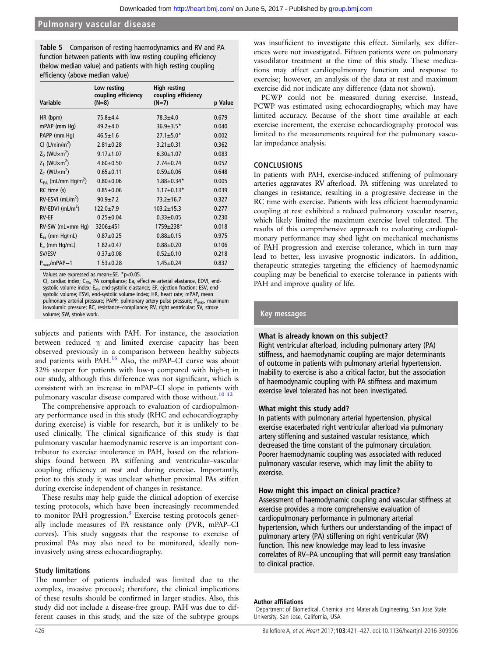## <span id="page-5-0"></span>**Pulmonary vascular disease**

Table 5 Comparison of resting haemodynamics and RV and PA function between patients with low resting coupling efficiency (below median value) and patients with high resting coupling efficiency (above median value)

|                                     | Low resting<br>coupling efficiency | <b>High resting</b><br>coupling efficiency |         |
|-------------------------------------|------------------------------------|--------------------------------------------|---------|
| Variable                            | $(N=8)$                            | $(N=7)$                                    | p Value |
| HR (bpm)                            | $75.8 + 4.4$                       | $78.3 + 4.0$                               | 0.679   |
| $mPAP$ (mm $Hq$ )                   | $49.2 + 4.0$                       | $36.9 \pm 3.5*$                            | 0.040   |
| PAPP (mm Hg)                        | $46.5 \pm 1.6$                     | $27.1 \pm 5.0*$                            | 0.002   |
| CI (L/min/m <sup>2</sup> )          | $2.81 \pm 0.28$                    | $3.21 \pm 0.31$                            | 0.362   |
| $Z_0$ (WU $\times$ m <sup>2</sup> ) | $9.17 + 1.07$                      | $6.30 + 1.07$                              | 0.083   |
| $Z_1$ (WU $\times$ m <sup>2</sup> ) | $4.60 + 0.50$                      | $2.74 \pm 0.74$                            | 0.052   |
| $Z_c$ (WU $\times$ m <sup>2</sup> ) | $0.65 + 0.11$                      | $0.59 + 0.06$                              | 0.648   |
| $C_{PA}$ (mL/mm Hg/m <sup>2</sup> ) | $0.80 + 0.06$                      | $1.88 \pm 0.34*$                           | 0.005   |
| RC time (s)                         | $0.85 + 0.06$                      | $1.17 \pm 0.13*$                           | 0.039   |
| $RV$ -ESVI (mL/m <sup>2</sup> )     | $90.9 + 7.2$                       | $73.2 + 16.7$                              | 0.327   |
| $RV$ -EDVI (mL/m <sup>2</sup> )     | $122.0 \pm 7.9$                    | $103.2 + 15.3$                             | 0.277   |
| <b>RV-EF</b>                        | $0.25 \pm 0.04$                    | $0.33 + 0.05$                              | 0.230   |
| RV-SW (mLxmm Hq)                    | 3206±451                           | 1759±238*                                  | 0.018   |
| $E_{es}$ (mm Hg/mL)                 | $0.87 + 0.25$                      | $0.88 + 0.15$                              | 0.975   |
| $E_a$ (mm Hg/mL)                    | $1.82 + 0.47$                      | $0.88 + 0.20$                              | 0.106   |
| SV/ESV                              | $0.37 + 0.08$                      | $0.52 + 0.10$                              | 0.218   |
| $P_{max}/mPAP-1$                    | $1.53 + 0.28$                      | $1.45 \pm 0.24$                            | 0.837   |

Values are expressed as mean±SE. \*p<0.05.

CI, cardiac index; CPA, PA compliance; Ea, effective arterial elastance, EDVI, endsystolic volume index; E<sub>es</sub>, end-systolic elastance; EF, ejection fraction; ESV, endsystolic volume; ESVI, end-systolic volume index; HR, heart rate; mPAP, mean<br>pulmonary arterial pressure; PAPP, pulmonary artery pulse pressure; P<sub>max</sub>, maximum isovolumic pressure; RC, resistance–compliance; RV, right ventricular; SV, stroke volume; SW, stroke work.

subjects and patients with PAH. For instance, the association between reduced η and limited exercise capacity has been observed previously in a comparison between healthy subjects and patients with PAH.<sup>16</sup> Also, the mPAP–CI curve was about 32% steeper for patients with low-η compared with high-η in our study, although this difference was not significant, which is consistent with an increase in mPAP–CI slope in patients with pulmonary vascular disease compared with those without.<sup>[10 12](#page-6-0)</sup>

The comprehensive approach to evaluation of cardiopulmonary performance used in this study (RHC and echocardiography during exercise) is viable for research, but it is unlikely to be used clinically. The clinical significance of this study is that pulmonary vascular haemodynamic reserve is an important contributor to exercise intolerance in PAH, based on the relationships found between PA stiffening and ventricular–vascular coupling efficiency at rest and during exercise. Importantly, prior to this study it was unclear whether proximal PAs stiffen during exercise independent of changes in resistance.

These results may help guide the clinical adoption of exercise testing protocols, which have been increasingly recommended to monitor PAH progression. $5$  Exercise testing protocols generally include measures of PA resistance only (PVR, mPAP–CI curves). This study suggests that the response to exercise of proximal PAs may also need to be monitored, ideally noninvasively using stress echocardiography.

#### Study limitations

The number of patients included was limited due to the complex, invasive protocol; therefore, the clinical implications of these results should be confirmed in larger studies. Also, this study did not include a disease-free group. PAH was due to different causes in this study, and the size of the subtype groups

was insufficient to investigate this effect. Similarly, sex differences were not investigated. Fifteen patients were on pulmonary vasodilator treatment at the time of this study. These medications may affect cardiopulmonary function and response to exercise; however, an analysis of the data at rest and maximum exercise did not indicate any difference (data not shown).

PCWP could not be measured during exercise. Instead, PCWP was estimated using echocardiography, which may have limited accuracy. Because of the short time available at each exercise increment, the exercise echocardiography protocol was limited to the measurements required for the pulmonary vascular impedance analysis.

#### CONCLUSIONS

In patients with PAH, exercise-induced stiffening of pulmonary arteries aggravates RV afterload. PA stiffening was unrelated to changes in resistance, resulting in a progressive decrease in the RC time with exercise. Patients with less efficient haemodynamic coupling at rest exhibited a reduced pulmonary vascular reserve, which likely limited the maximum exercise level tolerated. The results of this comprehensive approach to evaluating cardiopulmonary performance may shed light on mechanical mechanisms of PAH progression and exercise tolerance, which in turn may lead to better, less invasive prognostic indicators. In addition, therapeutic strategies targeting the efficiency of haemodynamic coupling may be beneficial to exercise tolerance in patients with PAH and improve quality of life.

## Key messages

#### What is already known on this subject?

Right ventricular afterload, including pulmonary artery (PA) stiffness, and haemodynamic coupling are major determinants of outcome in patients with pulmonary arterial hypertension. Inability to exercise is also a critical factor, but the association of haemodynamic coupling with PA stiffness and maximum exercise level tolerated has not been investigated.

#### What might this study add?

In patients with pulmonary arterial hypertension, physical exercise exacerbated right ventricular afterload via pulmonary artery stiffening and sustained vascular resistance, which decreased the time constant of the pulmonary circulation. Poorer haemodynamic coupling was associated with reduced pulmonary vascular reserve, which may limit the ability to exercise.

#### How might this impact on clinical practice?

Assessment of haemodynamic coupling and vascular stiffness at exercise provides a more comprehensive evaluation of cardiopulmonary performance in pulmonary arterial hypertension, which furthers our understanding of the impact of pulmonary artery (PA) stiffening on right ventricular (RV) function. This new knowledge may lead to less invasive correlates of RV–PA uncoupling that will permit easy translation to clinical practice.

#### Author affiliations <sup>1</sup>

<sup>1</sup>Department of Biomedical, Chemical and Materials Engineering, San Jose State University, San Jose, California, USA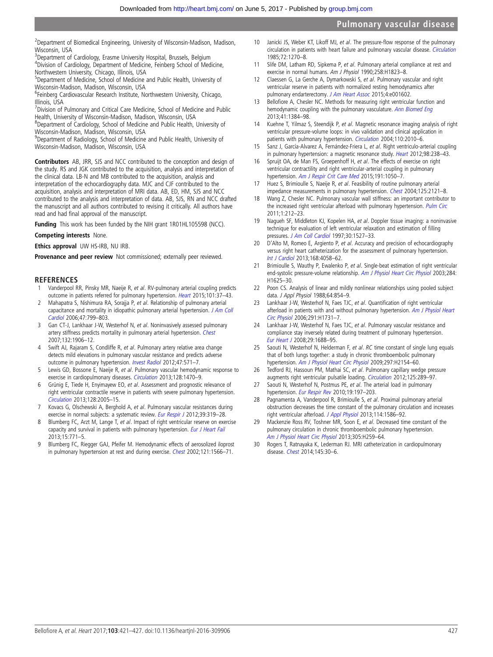<span id="page-6-0"></span><sup>2</sup>Department of Biomedical Engineering, University of Wisconsin-Madison, Madison, Wisconsin, USA

<sup>3</sup>Department of Cardiology, Erasme University Hospital, Brussels, Belgium 4 Division of Cardiology, Department of Medicine, Feinberg School of Medicine, Northwestern University, Chicago, Illinois, USA

<sup>5</sup>Department of Medicine, School of Medicine and Public Health, University of Wisconsin-Madison, Madison, Wisconsin, USA

<sup>6</sup>Feinberg Cardiovascular Research Institute, Northwestern University, Chicago, Illinois, USA

<sup>7</sup> Division of Pulmonary and Critical Care Medicine, School of Medicine and Public Health, University of Wisconsin-Madison, Madison, Wisconsin, USA

<sup>8</sup>Department of Cardiology, School of Medicine and Public Health, University of Wisconsin-Madison, Madison, Wisconsin, USA

<sup>9</sup>Department of Radiology, School of Medicine and Public Health, University of Wisconsin-Madison, Madison, Wisconsin, USA

Contributors AB, JRR, SJS and NCC contributed to the conception and design of the study. RS and JGK contributed to the acquisition, analysis and interpretation of the clinical data. LB-N and MB contributed to the acquisition, analysis and interpretation of the echocardiography data. MJC and CJF contributed to the acquisition, analysis and interpretation of MRI data. AB, ED, HM, SJS and NCC contributed to the analysis and interpretation of data. AB, SJS, RN and NCC drafted the manuscript and all authors contributed to revising it critically. All authors have read and had final approval of the manuscript.

Funding This work has been funded by the NIH grant 1R01HL105598 (NCC).

## Competing interests None.

#### Ethics approval UW HS-IRB, NU IRB.

Provenance and peer review Not commissioned; externally peer reviewed.

## REFERENCES

- 1 Vanderpool RR, Pinsky MR, Naeije R, et al. RV-pulmonary arterial coupling predicts outcome in patients referred for pulmonary hypertension. [Heart](http://dx.doi.org/10.1136/heartjnl-2014-306142) 2015;101:37–43.
- 2 Mahapatra S, Nishimura RA, Sorajja P, et al. Relationship of pulmonary arterial capacitance and mortality in idiopathic pulmonary arterial hypertension. [J Am Coll](http://dx.doi.org/10.1016/j.jacc.2005.09.054) [Cardiol](http://dx.doi.org/10.1016/j.jacc.2005.09.054) 2006;47:799–803.
- 3 Gan CT-J, Lankhaar J-W, Westerhof N, et al. Noninvasively assessed pulmonary artery stiffness predicts mortality in pulmonary arterial hypertension. [Chest](http://dx.doi.org/10.1378/chest.07-1246) 2007;132:1906–12.
- 4 Swift AJ, Rajaram S, Condliffe R, et al. Pulmonary artery relative area change detects mild elevations in pulmonary vascular resistance and predicts adverse outcome in pulmonary hypertension. [Invest Radiol](http://dx.doi.org/10.1097/RLI.0b013e31826c4341) 2012;47:571-7.
- 5 Lewis GD, Bossone E, Naeije R, et al. Pulmonary vascular hemodynamic response to exercise in cardiopulmonary diseases. [Circulation](http://dx.doi.org/10.1161/CIRCULATIONAHA.112.000667) 2013;128:1470–9.
- 6 Grünig E, Tiede H, Enyimayew EO, et al. Assessment and prognostic relevance of right ventricular contractile reserve in patients with severe pulmonary hypertension. [Circulation](http://dx.doi.org/10.1161/CIRCULATIONAHA.113.001573) 2013;128:2005–15.
- 7 Kovacs G, Olschewski A, Berghold A, et al. Pulmonary vascular resistances during exercise in normal subjects: a systematic review. [Eur Respir J](http://dx.doi.org/10.1183/09031936.00008611) 2012;39:319-28.
- 8 Blumberg FC, Arzt M, Lange T, et al. Impact of right ventricular reserve on exercise capacity and survival in patients with pulmonary hypertension. [Eur J Heart Fail](http://dx.doi.org/10.1093/eurjhf/hft044) 2013;15:771–5.
- 9 Blumberg FC, Riegger GAJ, Pfeifer M. Hemodynamic effects of aerosolized iloprost in pulmonary hypertension at rest and during exercise. [Chest](http://dx.doi.org/10.1378/chest.121.5.1566) 2002;121:1566-71.
- 10 Janicki JS, Weber KT, Likoff MJ, et al. The pressure-flow response of the pulmonary circulation in patients with heart failure and pulmonary vascular disease. [Circulation](http://dx.doi.org/10.1161/01.CIR.72.6.1270) 1985;72:1270–8.
- 11 Slife DM, Latham RD, Sipkema P, et al. Pulmonary arterial compliance at rest and exercise in normal humans. Am J Physiol 1990;258:H1823–8.
- 12 Claessen G, La Gerche A, Dymarkowski S, et al. Pulmonary vascular and right ventricular reserve in patients with normalized resting hemodynamics after pulmonary endarterectomy. [J Am Heart Assoc](http://dx.doi.org/10.1161/JAHA.114.001602) 2015;4:e001602.
- 13 Bellofiore A, Chesler NC. Methods for measuring right ventricular function and hemodynamic coupling with the pulmonary vasculature. [Ann Biomed Eng](http://dx.doi.org/10.1007/s10439-013-0752-3) 2013;41:1384–98.
- 14 Kuehne T, Yilmaz S, Steendijk P, et al. Magnetic resonance imaging analysis of right ventricular pressure-volume loops: in vivo validation and clinical application in patients with pulmonary hypertension. [Circulation](http://dx.doi.org/10.1161/01.CIR.0000143138.02493.DD) 2004;110:2010-6.
- Sanz J, García-Alvarez A, Fernández-Friera L, et al. Right ventriculo-arterial coupling in pulmonary hypertension: a magnetic resonance study. [Heart](http://dx.doi.org/10.1136/heartjnl-2011-300462) 2012;98:238-43.
- 16 Spruijt OA, de Man FS, Groepenhoff H, et al. The effects of exercise on right ventricular contractility and right ventricular-arterial coupling in pulmonary hypertension. [Am J Respir Crit Care Med](http://dx.doi.org/10.1164/rccm.201412-2271OC) 2015;191:1050-7.
- 17 Huez S, Brimioulle S, Naeije R, et al. Feasibility of routine pulmonary arterial impedance measurements in pulmonary hypertension. [Chest](http://dx.doi.org/10.1378/chest.125.6.2121) 2004;125:2121-8.
- 18 Wang Z, Chesler NC. Pulmonary vascular wall stiffness: an important contributor to the increased right ventricular afterload with pulmonary hypertension. [Pulm Circ](http://dx.doi.org/10.4103/2045-8932.83453) 2011;1:212–23.
- Nagueh SF, Middleton KJ, Kopelen HA, et al. Doppler tissue imaging: a noninvasive technique for evaluation of left ventricular relaxation and estimation of filling pressures. [J Am Coll Cardiol](http://dx.doi.org/10.1016/S0735-1097(97)00344-6) 1997;30:1527-33.
- 20 D'Alto M, Romeo E, Argiento P, et al. Accuracy and precision of echocardiography versus right heart catheterization for the assessment of pulmonary hypertension. [Int J Cardiol](http://dx.doi.org/10.1016/j.ijcard.2013.07.005) 2013;168:4058–62.
- 21 Brimioulle S, Wauthy P, Ewalenko P, et al. Single-beat estimation of right ventricular end-systolic pressure-volume relationship. [Am J Physiol Heart Circ Physiol](http://dx.doi.org/10.1152/ajpheart.01023.2002) 2003;284: H1625–30.
- 22 Poon CS. Analysis of linear and mildly nonlinear relationships using pooled subject data. J Appl Physiol 1988;64:854–9.
- 23 Lankhaar J-W, Westerhof N, Faes TJC, et al. Quantification of right ventricular afterload in patients with and without pulmonary hypertension. [Am J Physiol Heart](http://dx.doi.org/10.1152/ajpheart.00336.2006) [Circ Physiol](http://dx.doi.org/10.1152/ajpheart.00336.2006) 2006;291:H1731–7.
- 24 Lankhaar J-W, Westerhof N, Faes TJC, et al. Pulmonary vascular resistance and compliance stay inversely related during treatment of pulmonary hypertension. [Eur Heart J](http://dx.doi.org/10.1093/eurheartj/ehn103) 2008;29:1688–95.
- 25 Saouti N, Westerhof N, Helderman F, et al. RC time constant of single lung equals that of both lungs together: a study in chronic thromboembolic pulmonary hypertension. Am J [Physiol Heart Circ Physiol](http://dx.doi.org/10.1152/ajpheart.00694.2009) 2009;297:H2154-60.
- 26 Tedford RJ, Hassoun PM, Mathai SC, et al. Pulmonary capillary wedge pressure augments right ventricular pulsatile loading. [Circulation](http://dx.doi.org/10.1161/CIRCULATIONAHA.111.051540) 2012;125:289–97.
- 27 Saouti N, Westerhof N, Postmus PE, et al. The arterial load in pulmonary hypertension. [Eur Respir Rev](http://dx.doi.org/10.1183/09059180.00002210) 2010;19:197-203.
- 28 Pagnamenta A, Vanderpool R, Brimioulle S, et al. Proximal pulmonary arterial obstruction decreases the time constant of the pulmonary circulation and increases right ventricular afterload. [J Appl Physiol](http://dx.doi.org/10.1152/japplphysiol.00033.2013) 2013;114:1586–92.
- 29 Mackenzie Ross RV, Toshner MR, Soon E, et al. Decreased time constant of the pulmonary circulation in chronic thromboembolic pulmonary hypertension. [Am J Physiol Heart Circ Physiol](http://dx.doi.org/10.1152/ajpheart.00128.2013) 2013;305:H259–64.
- Rogers T, Ratnayaka K, Lederman RJ. MRI catheterization in cardiopulmonary disease. [Chest](http://dx.doi.org/10.1378/chest.13-1759) 2014;145:30–6.